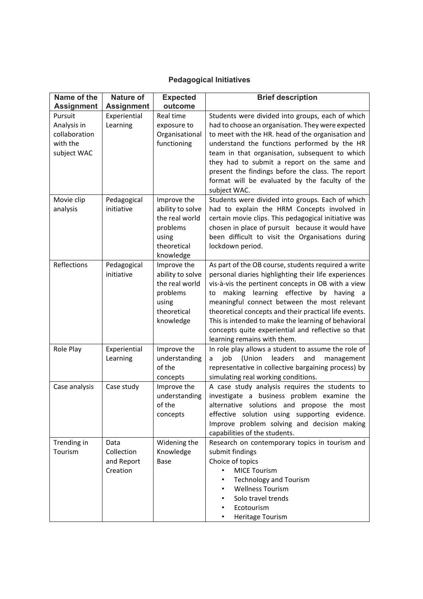## **Pedagogical Initiatives**

| Name of the       | <b>Nature of</b>  | <b>Expected</b>      | <b>Brief description</b>                                                                             |
|-------------------|-------------------|----------------------|------------------------------------------------------------------------------------------------------|
| <b>Assignment</b> | <b>Assignment</b> | outcome              |                                                                                                      |
| Pursuit           | Experiential      | Real time            | Students were divided into groups, each of which                                                     |
| Analysis in       | Learning          | exposure to          | had to choose an organisation. They were expected                                                    |
| collaboration     |                   | Organisational       | to meet with the HR. head of the organisation and                                                    |
| with the          |                   | functioning          | understand the functions performed by the HR                                                         |
| subject WAC       |                   |                      | team in that organisation, subsequent to which                                                       |
|                   |                   |                      | they had to submit a report on the same and                                                          |
|                   |                   |                      | present the findings before the class. The report                                                    |
|                   |                   |                      | format will be evaluated by the faculty of the                                                       |
|                   |                   |                      | subject WAC.                                                                                         |
| Movie clip        | Pedagogical       | Improve the          | Students were divided into groups. Each of which                                                     |
| analysis          | initiative        | ability to solve     | had to explain the HRM Concepts involved in                                                          |
|                   |                   | the real world       | certain movie clips. This pedagogical initiative was                                                 |
|                   |                   | problems             | chosen in place of pursuit because it would have<br>been difficult to visit the Organisations during |
|                   |                   | using<br>theoretical | lockdown period.                                                                                     |
|                   |                   | knowledge            |                                                                                                      |
| Reflections       | Pedagogical       | Improve the          | As part of the OB course, students required a write                                                  |
|                   | initiative        | ability to solve     | personal diaries highlighting their life experiences                                                 |
|                   |                   | the real world       | vis-à-vis the pertinent concepts in OB with a view                                                   |
|                   |                   | problems             | making learning effective by<br>having a<br>to                                                       |
|                   |                   | using                | meaningful connect between the most relevant                                                         |
|                   |                   | theoretical          | theoretical concepts and their practical life events.                                                |
|                   |                   | knowledge            | This is intended to make the learning of behavioral                                                  |
|                   |                   |                      | concepts quite experiential and reflective so that                                                   |
|                   |                   |                      | learning remains with them.                                                                          |
| Role Play         | Experiential      | Improve the          | In role play allows a student to assume the role of                                                  |
|                   | Learning          | understanding        | (Union<br>leaders<br>job<br>and<br>management<br>a                                                   |
|                   |                   | of the               | representative in collective bargaining process) by                                                  |
|                   |                   | concepts             | simulating real working conditions.                                                                  |
| Case analysis     | Case study        | Improve the          | A case study analysis requires the students to                                                       |
|                   |                   | understanding        | investigate a business problem examine the                                                           |
|                   |                   | of the               | alternative solutions and propose the most                                                           |
|                   |                   | concepts             | effective solution using supporting evidence.                                                        |
|                   |                   |                      | Improve problem solving and decision making<br>capabilities of the students.                         |
| Trending in       | Data              | Widening the         | Research on contemporary topics in tourism and                                                       |
| Tourism           | Collection        | Knowledge            | submit findings                                                                                      |
|                   | and Report        | Base                 | Choice of topics                                                                                     |
|                   | Creation          |                      | <b>MICE Tourism</b>                                                                                  |
|                   |                   |                      | <b>Technology and Tourism</b>                                                                        |
|                   |                   |                      | <b>Wellness Tourism</b>                                                                              |
|                   |                   |                      | Solo travel trends                                                                                   |
|                   |                   |                      | Ecotourism                                                                                           |
|                   |                   |                      | Heritage Tourism<br>٠                                                                                |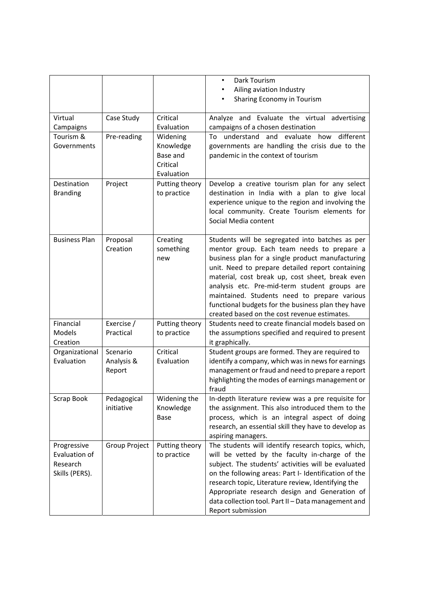|                                                            |                                  |                                                             | Dark Tourism<br>٠<br>Ailing aviation Industry<br>Sharing Economy in Tourism                                                                                                                                                                                                                                                                                                                                                                                     |
|------------------------------------------------------------|----------------------------------|-------------------------------------------------------------|-----------------------------------------------------------------------------------------------------------------------------------------------------------------------------------------------------------------------------------------------------------------------------------------------------------------------------------------------------------------------------------------------------------------------------------------------------------------|
| Virtual<br>Campaigns                                       | Case Study                       | Critical<br>Evaluation                                      | Analyze and Evaluate the virtual advertising<br>campaigns of a chosen destination                                                                                                                                                                                                                                                                                                                                                                               |
| Tourism &<br>Governments                                   | Pre-reading                      | Widening<br>Knowledge<br>Base and<br>Critical<br>Evaluation | To understand and evaluate<br>how<br>different<br>governments are handling the crisis due to the<br>pandemic in the context of tourism                                                                                                                                                                                                                                                                                                                          |
| Destination<br><b>Branding</b>                             | Project                          | Putting theory<br>to practice                               | Develop a creative tourism plan for any select<br>destination in India with a plan to give local<br>experience unique to the region and involving the<br>local community. Create Tourism elements for<br>Social Media content                                                                                                                                                                                                                                   |
| <b>Business Plan</b>                                       | Proposal<br>Creation             | Creating<br>something<br>new                                | Students will be segregated into batches as per<br>mentor group. Each team needs to prepare a<br>business plan for a single product manufacturing<br>unit. Need to prepare detailed report containing<br>material, cost break up, cost sheet, break even<br>analysis etc. Pre-mid-term student groups are<br>maintained. Students need to prepare various<br>functional budgets for the business plan they have<br>created based on the cost revenue estimates. |
| Financial<br>Models<br>Creation                            | Exercise /<br>Practical          | Putting theory<br>to practice                               | Students need to create financial models based on<br>the assumptions specified and required to present<br>it graphically.                                                                                                                                                                                                                                                                                                                                       |
| Organizational<br>Evaluation                               | Scenario<br>Analysis &<br>Report | Critical<br>Evaluation                                      | Student groups are formed. They are required to<br>identify a company, which was in news for earnings<br>management or fraud and need to prepare a report<br>highlighting the modes of earnings management or<br>fraud                                                                                                                                                                                                                                          |
| Scrap Book                                                 | Pedagogical<br>initiative        | Widening the<br>Knowledge<br>Base                           | In-depth literature review was a pre requisite for<br>the assignment. This also introduced them to the<br>process, which is an integral aspect of doing<br>research, an essential skill they have to develop as<br>aspiring managers.                                                                                                                                                                                                                           |
| Progressive<br>Evaluation of<br>Research<br>Skills (PERS). | Group Project                    | Putting theory<br>to practice                               | The students will identify research topics, which,<br>will be vetted by the faculty in-charge of the<br>subject. The students' activities will be evaluated<br>on the following areas: Part I- Identification of the<br>research topic, Literature review, Identifying the<br>Appropriate research design and Generation of<br>data collection tool. Part II - Data management and<br>Report submission                                                         |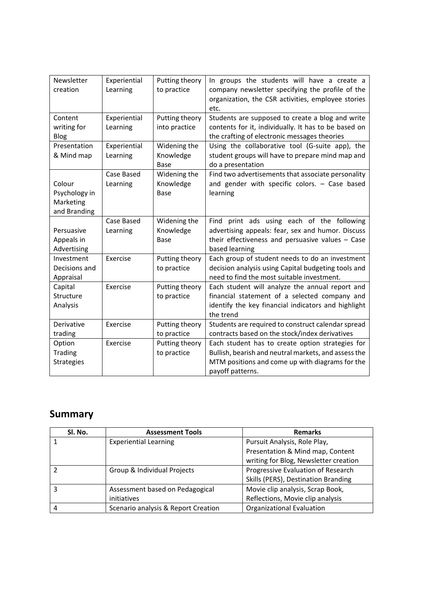| Newsletter        | Experiential | Putting theory | In groups the students will have a create a          |
|-------------------|--------------|----------------|------------------------------------------------------|
| creation          | Learning     | to practice    | company newsletter specifying the profile of the     |
|                   |              |                | organization, the CSR activities, employee stories   |
|                   |              |                | etc.                                                 |
| Content           | Experiential | Putting theory | Students are supposed to create a blog and write     |
| writing for       | Learning     | into practice  | contents for it, individually. It has to be based on |
| <b>Blog</b>       |              |                | the crafting of electronic messages theories         |
| Presentation      | Experiential | Widening the   | Using the collaborative tool (G-suite app), the      |
| & Mind map        | Learning     | Knowledge      | student groups will have to prepare mind map and     |
|                   |              | Base           | do a presentation                                    |
|                   | Case Based   | Widening the   | Find two advertisements that associate personality   |
| Colour            | Learning     | Knowledge      | and gender with specific colors. - Case based        |
| Psychology in     |              | Base           | learning                                             |
| Marketing         |              |                |                                                      |
| and Branding      |              |                |                                                      |
|                   | Case Based   | Widening the   | print ads using each of the following<br>Find        |
| Persuasive        | Learning     | Knowledge      | advertising appeals: fear, sex and humor. Discuss    |
| Appeals in        |              | <b>Base</b>    | their effectiveness and persuasive values $-$ Case   |
| Advertising       |              |                | based learning                                       |
| Investment        | Exercise     | Putting theory | Each group of student needs to do an investment      |
| Decisions and     |              | to practice    | decision analysis using Capital budgeting tools and  |
| Appraisal         |              |                | need to find the most suitable investment.           |
| Capital           | Exercise     | Putting theory | Each student will analyze the annual report and      |
| Structure         |              | to practice    | financial statement of a selected company and        |
| Analysis          |              |                | identify the key financial indicators and highlight  |
|                   |              |                | the trend                                            |
| Derivative        | Exercise     | Putting theory | Students are required to construct calendar spread   |
| trading           |              | to practice    | contracts based on the stock/index derivatives       |
| Option            | Exercise     | Putting theory | Each student has to create option strategies for     |
| <b>Trading</b>    |              | to practice    | Bullish, bearish and neutral markets, and assess the |
| <b>Strategies</b> |              |                | MTM positions and come up with diagrams for the      |
|                   |              |                | payoff patterns.                                     |

## **Summary**

| SI. No. | <b>Assessment Tools</b>             | <b>Remarks</b>                        |
|---------|-------------------------------------|---------------------------------------|
|         | <b>Experiential Learning</b>        | Pursuit Analysis, Role Play,          |
|         |                                     | Presentation & Mind map, Content      |
|         |                                     | writing for Blog, Newsletter creation |
|         | Group & Individual Projects         | Progressive Evaluation of Research    |
|         |                                     | Skills (PERS), Destination Branding   |
|         | Assessment based on Pedagogical     | Movie clip analysis, Scrap Book,      |
|         | initiatives                         | Reflections, Movie clip analysis      |
|         | Scenario analysis & Report Creation | <b>Organizational Evaluation</b>      |